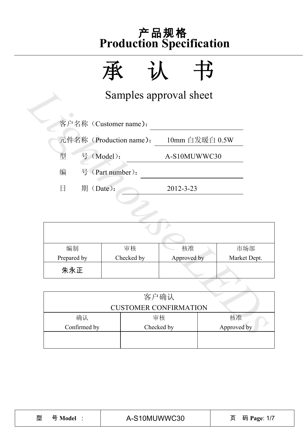

|                |                         | Samples approval sheet       |                |
|----------------|-------------------------|------------------------------|----------------|
|                | 客户名称 (Customer name):   |                              |                |
|                | 元件名称 (Production name): |                              | 10mm 白发暖白 0.5W |
| 型              | 号 (Model):              | A-S10MUWWC30                 |                |
| 编              | 号 (Part number):        |                              |                |
| 日<br>期 (Date): |                         | 2012-3-23                    |                |
|                |                         |                              |                |
|                |                         |                              |                |
|                |                         |                              |                |
| 编制             | 审核                      | 核准                           | 市场部            |
| Prepared by    | Checked by              | Approved by                  | Market Dept.   |
| 朱永正            |                         |                              |                |
|                |                         |                              |                |
|                |                         | 客户确认                         |                |
|                |                         | <b>CUSTOMER CONFIRMATION</b> |                |
| 确认             |                         | 审核                           | 核准             |
| Confirmed by   |                         | Checked by                   | Approved by    |

| 编制          | 审核         | 核准          | 市场部          |  |  |
|-------------|------------|-------------|--------------|--|--|
| Prepared by | Checked by | Approved by | Market Dept. |  |  |
| 朱永正         |            |             |              |  |  |

|              | <b>CUSTOMER CONFIRMATION</b> |    |
|--------------|------------------------------|----|
| 确认           | 审核                           | 核准 |
| Confirmed by | Approved by                  |    |
|              |                              |    |
|              |                              |    |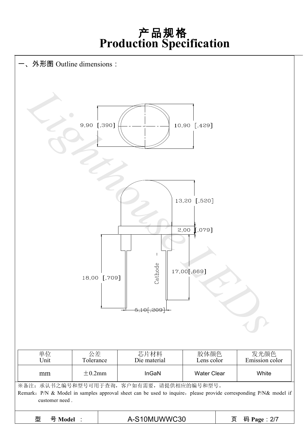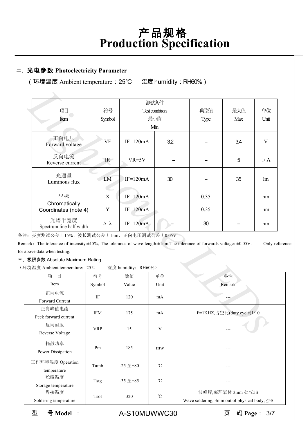#### 二、光电参数 **Photoelectricity Parameter**

(环境温度 Ambient temperature:25℃ 湿度humidity:RH60%)

| 项目                                                                                                                                        | 符号                 |                     | 测试条件<br>Test condition |                            | 典型值    | 最大值 | 单位        |
|-------------------------------------------------------------------------------------------------------------------------------------------|--------------------|---------------------|------------------------|----------------------------|--------|-----|-----------|
|                                                                                                                                           |                    |                     | 最小值                    |                            |        | Max |           |
| Item                                                                                                                                      | Symbol             |                     |                        |                            | Type   |     | Unit      |
|                                                                                                                                           |                    |                     | Min                    |                            |        |     |           |
| 正向电压<br>Forward voltage                                                                                                                   | <b>VF</b>          | $IF=120mA$          |                        | 3.2                        |        | 3.4 | V         |
| 反向电流<br>Reverse current                                                                                                                   | IR                 | $VR=5V$             |                        |                            |        | 5   | $\mu A$   |
| 光通量<br>Luminous flux                                                                                                                      | LM                 | $IF=120mA$          |                        | 30                         |        | 35  | lm        |
| 坐标                                                                                                                                        | X                  | $IF=120mA$          |                        |                            | 0.35   |     | nm        |
| Chromatically<br>Coordinates (note 4)                                                                                                     | $\mathbf Y$        | $IF=120mA$          |                        |                            | 0.35   |     | nm        |
| 光谱半宽度<br>Spectrum line half width                                                                                                         | $\Delta$ $\lambda$ | $IF=120mA$          |                        |                            | 30     |     | nm        |
| :: 亮度测试公差±15%、波长测试公差±1nm、正向电压测试公差±0.05V                                                                                                   |                    |                     |                        |                            |        |     |           |
| aark. The tolerance of intensity: $\pm 15\%$ , The tolerance of wave length: $\pm 1$ nm, The tolerance of forwards voltage: $\pm 0.05$ V. |                    |                     |                        |                            |        |     | Only refe |
| above data when testing.                                                                                                                  |                    |                     |                        |                            |        |     |           |
| 极限参数 Absolute Maximum Rating                                                                                                              |                    |                     |                        |                            |        |     |           |
| 「境温度 Ambient temperature: 25℃                                                                                                             |                    | 湿度 humidity: RH60%) |                        |                            |        |     |           |
| 项<br>目                                                                                                                                    | 符号                 | 数值                  | 单位                     |                            |        | 备注  |           |
| Item                                                                                                                                      | Symbol             | Value               | Unit                   |                            | Remark |     |           |
| 正向电流                                                                                                                                      |                    |                     |                        |                            |        |     |           |
| Forward Current                                                                                                                           | IF                 | 120                 | mA                     |                            |        |     |           |
| 正向峰值电流                                                                                                                                    |                    |                     |                        |                            |        |     |           |
| Peck forward current                                                                                                                      | <b>IFM</b>         | 175                 | mA                     | F=1KHZ,占空比(duty cycle)1/10 |        |     |           |
| 反向耐压                                                                                                                                      |                    |                     |                        |                            |        |     |           |
| Reverse Voltage                                                                                                                           | <b>VRP</b>         | 15                  | V                      |                            |        |     |           |
|                                                                                                                                           |                    |                     |                        |                            |        |     |           |

备注:亮度测试公差±15%、波长测试公差±1nm、正向电压测试公差±0.05V

Remark: The tolerance of intensity:±15%, The tolerance of wave length:±1nm,The tolerance of forwards voltage: ±0.05V. Only reference for above data when testing.

三、极限参数 Absolute Maximum Rating

(环境温度 Ambient temperature:25℃ 湿度 humidity:RH60%)

| Soldering temperature<br>型<br>号 Model : |            | A-S10MUWWC30     |                 | Wave soldering, 3mm out of physical body, $\leq$ 5S<br>码 Page:<br>页<br>3/7 |
|-----------------------------------------|------------|------------------|-----------------|----------------------------------------------------------------------------|
| 焊接温度                                    | Tsol       | 320              | $^{\circ}$ C    | 波峰焊,离环氧体 3mm 处≤5S                                                          |
| 贮藏温度<br>Storage temperature             | Tstg       | $-35 \n  \pm 85$ | $^{\circ}$ C    |                                                                            |
| 工作环境温度 Operation<br>temperature         | Tamb       | $-25 \ncong +80$ | $\rm ^{\circ}C$ |                                                                            |
| 耗散功率<br>Power Dissipation               | Pm         | 185              | mw              | ---                                                                        |
| 反向耐压<br>Reverse Voltage                 | <b>VRP</b> | 15               | V               |                                                                            |
| 正向峰值电流<br>Peck forward current          | IFM        | 175              | mA              | F=1KHZ,占空比(duty cycle)1/10                                                 |
| 正向电流<br>Forward Current                 | IF         | 120              | mA              |                                                                            |
| Item                                    | Symbol     | Value            | Unit            | Remark                                                                     |
| 目<br>项                                  | 符号         | 数值               | 单位              | 备注                                                                         |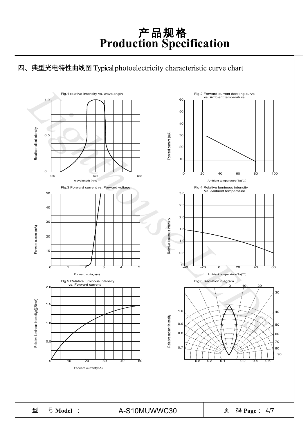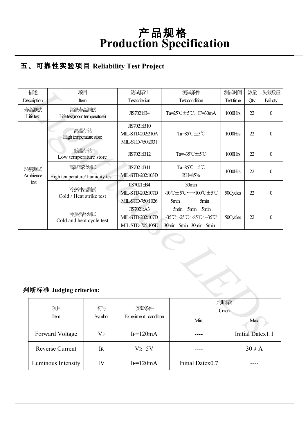### ● **R** 五、可靠性实验项目 **Reliability Test Project**

| 描述                                        | 项目                                        |                                                     | 测试标准                                                      | 测试条件                                                                | 测试时间       | 数量                      | 失效数量             |  |
|-------------------------------------------|-------------------------------------------|-----------------------------------------------------|-----------------------------------------------------------|---------------------------------------------------------------------|------------|-------------------------|------------------|--|
| Description                               | Item                                      |                                                     | <b>Test criterion</b>                                     | <b>Test condition</b>                                               | Test time  | Qty                     | Fail qty         |  |
| 寿命测试<br>Lifetest                          | 常温寿命测试<br>Life test(room temperature)     |                                                     | JIS7021:B4                                                | Ta= $25^{\circ}$ C $\pm$ 5 $^{\circ}$ C, IF=30mA                    | $1000$ Hrs | 22                      | $\boldsymbol{0}$ |  |
|                                           | 高温存储<br>High temperature store            |                                                     | JIS7021:B10<br>MIL-STD-202:210A<br>MIL-STD-750:2031       | Ta=85°C±5°C                                                         | 1000Hrs    | 22                      | $\mathbf{0}$     |  |
|                                           | 低温存储<br>Low temperature store             |                                                     | JIS7021:B12                                               | Ta=-35℃±5℃                                                          | $1000$ Hrs | 22                      | $\boldsymbol{0}$ |  |
| 环境测试<br>Ambience                          | 高温高湿测试<br>High temperature/ humidity test |                                                     | JIS7021:B11<br>MIL-STD-202:103D                           | Ta=85°C±5°C<br>RH=85%                                               | 1000Hrs    | 22                      | $\boldsymbol{0}$ |  |
| test<br>冷热冲击测试<br>Cold / Heat strike test |                                           | JIS7021::B4<br>MIL-STD-202:107D<br>MIL-STD-750:1026 | 30min<br>-10℃±5℃←→100℃±5℃<br>5min<br>5min                 | 50Cycles                                                            | 22         | $\mathbf{0}$            |                  |  |
|                                           | 冷热循环测试<br>Cold and heat cycle test        |                                                     | <b>JIS7021:A3</b><br>MIL-STD-202:107D<br>MIL-STD-705:105E | 5min 5min<br>5min<br>-35°C~25°C~85°C~-35°C<br>30min 5min 30min 5min | 50Cycles   | 22                      | $\boldsymbol{0}$ |  |
| 判断标准 Judging criterion:                   |                                           |                                                     |                                                           |                                                                     |            |                         |                  |  |
|                                           | 项目                                        | 符号                                                  | 实验条件                                                      | 判断标准<br>Criteria                                                    |            |                         |                  |  |
|                                           | Item                                      | Symbol                                              | Experiment condition                                      | Min.                                                                |            |                         | Max.             |  |
|                                           | <b>Forward Voltage</b>                    | <b>VF</b>                                           | $IF=120mA$                                                |                                                                     |            | <b>Initial Datex1.1</b> |                  |  |

### 判断标准 **Judging criterion:**

| 符号<br>实验条件<br>项目       |           | 判断标准                 |                  |                  |  |
|------------------------|-----------|----------------------|------------------|------------------|--|
|                        |           |                      | Criteria         |                  |  |
| Item                   | Symbol    | Experiment condition | Min.             | Max.             |  |
| Forward Voltage        | $\rm V_F$ | $IF=120mA$           |                  | Initial Datex1.1 |  |
| <b>Reverse Current</b> | <b>IR</b> | $V_R = 5V$           |                  | $30 \mu A$       |  |
| Luminous Intensity     | IV        | $IF=120mA$           | Initial Datex0.7 |                  |  |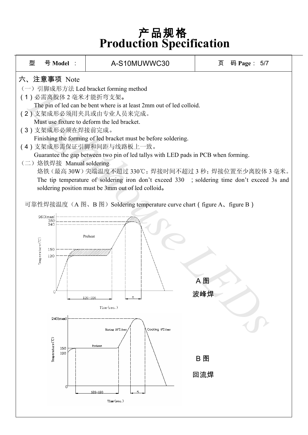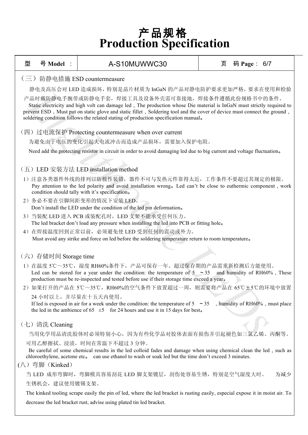| 型                                                                                                                                                                                                                                                                                                                                                                                            | 号 Model :                                                                                                                                                                                                                             | A-S10MUWWC30                                                                                                                                                                                                                                                              | 页<br>码 Page: 6/7 |  |  |  |  |  |
|----------------------------------------------------------------------------------------------------------------------------------------------------------------------------------------------------------------------------------------------------------------------------------------------------------------------------------------------------------------------------------------------|---------------------------------------------------------------------------------------------------------------------------------------------------------------------------------------------------------------------------------------|---------------------------------------------------------------------------------------------------------------------------------------------------------------------------------------------------------------------------------------------------------------------------|------------------|--|--|--|--|--|
| (三) 防静电措施 ESD countermeasure                                                                                                                                                                                                                                                                                                                                                                 |                                                                                                                                                                                                                                       |                                                                                                                                                                                                                                                                           |                  |  |  |  |  |  |
|                                                                                                                                                                                                                                                                                                                                                                                              | 静电及高压会对 LED 造成损坏, 特别是晶片材质为 InGaN 的产品对静电防护要求更加严格, 要求在使用和检验                                                                                                                                                                             |                                                                                                                                                                                                                                                                           |                  |  |  |  |  |  |
| 产品时戴防静电手腕带或防静电手套,焊接工具及设备外壳需可靠接地,焊接条件遵循此份规格书中的条件。<br>Static electricity and high volt can damage led, The production whose Die material is InGaN must strictly required to<br>prevent ESD, Must put on static glove and static fillet, Soldering tool and the cover of device must connect the ground,<br>soldering condition follows the related stating of production specification manual. |                                                                                                                                                                                                                                       |                                                                                                                                                                                                                                                                           |                  |  |  |  |  |  |
|                                                                                                                                                                                                                                                                                                                                                                                              |                                                                                                                                                                                                                                       | (四) 过电流保护 Protecting countermeasure when over current                                                                                                                                                                                                                     |                  |  |  |  |  |  |
|                                                                                                                                                                                                                                                                                                                                                                                              |                                                                                                                                                                                                                                       | 为避免由于电压的变化引起大电流冲击而造成产品损坏,需要加入保护电阻。                                                                                                                                                                                                                                        |                  |  |  |  |  |  |
|                                                                                                                                                                                                                                                                                                                                                                                              |                                                                                                                                                                                                                                       | Need add the protecting resistor in circuit in order to avoid damaging led due to big current and voltage fluctuation.                                                                                                                                                    |                  |  |  |  |  |  |
|                                                                                                                                                                                                                                                                                                                                                                                              |                                                                                                                                                                                                                                       | (五) LED 安装方法 LED installation method                                                                                                                                                                                                                                      |                  |  |  |  |  |  |
|                                                                                                                                                                                                                                                                                                                                                                                              |                                                                                                                                                                                                                                       | 1) 注意各类器件外线的排列以防极性装错, 器件不可与发热元件靠得太近, 工作条件不要超过其规定的极限。<br>Pay attention to the led polarity and avoid installation wrong. Led can't be close to euthermic component, work<br>condition should tally with it's specification.                                                |                  |  |  |  |  |  |
|                                                                                                                                                                                                                                                                                                                                                                                              |                                                                                                                                                                                                                                       | 2) 务必不要在引脚间距变形的情况下安装 LED。                                                                                                                                                                                                                                                 |                  |  |  |  |  |  |
|                                                                                                                                                                                                                                                                                                                                                                                              |                                                                                                                                                                                                                                       | Don't install the LED under the condition of the led pin deformation.<br>3) 当装配 LED 进入 PCB 或装配孔时, LED 支架不能承受任何压力。                                                                                                                                                         |                  |  |  |  |  |  |
|                                                                                                                                                                                                                                                                                                                                                                                              |                                                                                                                                                                                                                                       | The led bracket don't load any pressure when installing the led into PCB or fitting hole.                                                                                                                                                                                 |                  |  |  |  |  |  |
|                                                                                                                                                                                                                                                                                                                                                                                              |                                                                                                                                                                                                                                       | 4) 在焊接温度回到正常以前, 必须避免使 LED 受到任何的震动或外力。                                                                                                                                                                                                                                     |                  |  |  |  |  |  |
|                                                                                                                                                                                                                                                                                                                                                                                              | Must avoid any strike and force on led before the soldering temperature return to room temperature.                                                                                                                                   |                                                                                                                                                                                                                                                                           |                  |  |  |  |  |  |
|                                                                                                                                                                                                                                                                                                                                                                                              |                                                                                                                                                                                                                                       |                                                                                                                                                                                                                                                                           |                  |  |  |  |  |  |
|                                                                                                                                                                                                                                                                                                                                                                                              | (六) 存储时间 Storage time                                                                                                                                                                                                                 |                                                                                                                                                                                                                                                                           |                  |  |  |  |  |  |
|                                                                                                                                                                                                                                                                                                                                                                                              |                                                                                                                                                                                                                                       | 1) 在温度 5℃~35℃, 湿度 RH60%条件下, 产品可保存一年。超过保存期的产品需重新检测后方能使用。<br>Led can be stored for a year under the condition: the temperature of $5 \approx 35$ and humidity of RH60%, These<br>production must be re-inspected and tested before use if their storage time exceed a year. |                  |  |  |  |  |  |
|                                                                                                                                                                                                                                                                                                                                                                                              |                                                                                                                                                                                                                                       | 2) 如果打开的产品在 5℃~35℃, RH60%的空气条件下放置超过一周, 则需要将产品在 65℃±5℃的环境中放置                                                                                                                                                                                                               |                  |  |  |  |  |  |
|                                                                                                                                                                                                                                                                                                                                                                                              | 24 小时以上, 并尽量在十五天内使用。<br>If led is exposed in air for a week under the condition: the temperature of $5 \sim 35$ , humidity of RH60%, must place<br>the led in the ambience of 65 $\pm$ 5 for 24 hours and use it in 15 days for best. |                                                                                                                                                                                                                                                                           |                  |  |  |  |  |  |
|                                                                                                                                                                                                                                                                                                                                                                                              | (七) 清洗 Cleaning                                                                                                                                                                                                                       |                                                                                                                                                                                                                                                                           |                  |  |  |  |  |  |
|                                                                                                                                                                                                                                                                                                                                                                                              | 当用化学用品清洗胶体时必须特别小心,因为有些化学品对胶体表面有损伤并引起褪色如三氯乙烯、丙酮等。                                                                                                                                                                                      |                                                                                                                                                                                                                                                                           |                  |  |  |  |  |  |
| 可用乙醇擦拭、浸渍, 时间在常温下不超过3分钟。<br>Be careful of some chemical results in the led colloid fades and damage when using chemical clean the led, such as<br>chloroethylene, acetone etc. can use ethanol to wash or soak led but the time don't exceed 3 minutes.                                                                                                                                      |                                                                                                                                                                                                                                       |                                                                                                                                                                                                                                                                           |                  |  |  |  |  |  |
|                                                                                                                                                                                                                                                                                                                                                                                              | $($ 八 $)$ 弯脚 (Kinked)                                                                                                                                                                                                                 |                                                                                                                                                                                                                                                                           |                  |  |  |  |  |  |
|                                                                                                                                                                                                                                                                                                                                                                                              |                                                                                                                                                                                                                                       | 当 LED 成形弯脚时,弯脚模具容易刮花 LED 脚支架镀层,刮伤处容易生锈,特别是空气湿度大时。                                                                                                                                                                                                                         | 为减少              |  |  |  |  |  |
|                                                                                                                                                                                                                                                                                                                                                                                              | 生锈机会, 建议使用镀锡支架。                                                                                                                                                                                                                       |                                                                                                                                                                                                                                                                           |                  |  |  |  |  |  |
|                                                                                                                                                                                                                                                                                                                                                                                              | The kinked tooling scrape easily the pin of led, where the led bracket is rusting easily, especial expose it in moist air. To                                                                                                         |                                                                                                                                                                                                                                                                           |                  |  |  |  |  |  |

decrease the led bracket rust, advise using plated tin led bracket.